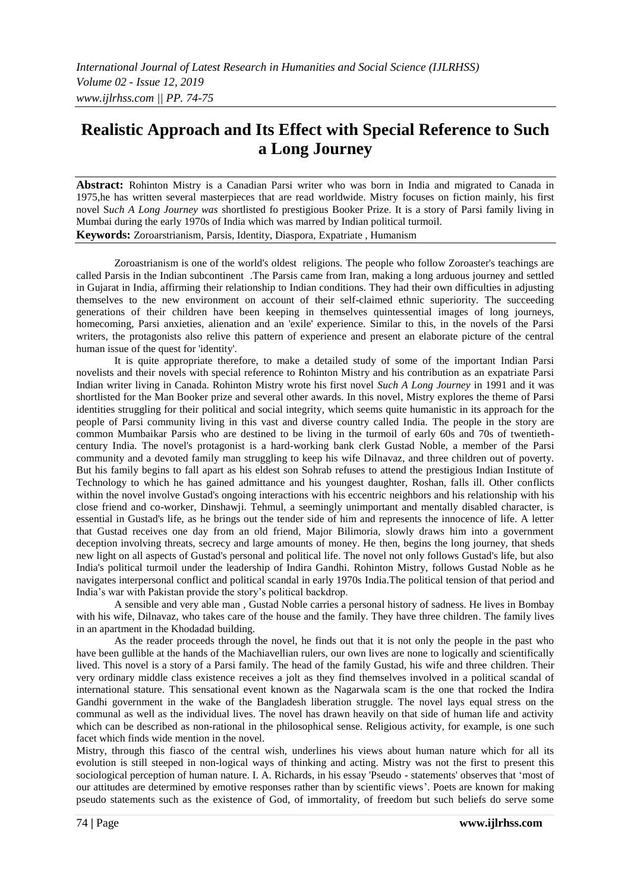# **Realistic Approach and Its Effect with Special Reference to Such a Long Journey**

**Abstract:** Rohinton Mistry is a Canadian Parsi writer who was born in India and migrated to Canada in 1975,he has written several masterpieces that are read worldwide. Mistry focuses on fiction mainly, his first novel S*uch A Long Journey was* shortlisted fo prestigious Booker Prize. It is a story of Parsi family living in Mumbai during the early 1970s of India which was marred by Indian political turmoil. **Keywords:** Zoroarstrianism, Parsis, Identity, Diaspora, Expatriate , Humanism

Zoroastrianism is one of the world's oldest religions. The people who follow Zoroaster's teachings are called Parsis in the Indian subcontinent .The Parsis came from Iran, making a long arduous journey and settled in Gujarat in India, affirming their relationship to Indian conditions. They had their own difficulties in adjusting themselves to the new environment on account of their self-claimed ethnic superiority. The succeeding generations of their children have been keeping in themselves quintessential images of long journeys, homecoming, Parsi anxieties, alienation and an 'exile' experience. Similar to this, in the novels of the Parsi writers, the protagonists also relive this pattern of experience and present an elaborate picture of the central human issue of the quest for 'identity'.

It is quite appropriate therefore, to make a detailed study of some of the important Indian Parsi novelists and their novels with special reference to Rohinton Mistry and his contribution as an expatriate Parsi Indian writer living in Canada. Rohinton Mistry wrote his first novel *Such A Long Journey* in 1991 and it was shortlisted for the Man Booker prize and several other awards. In this novel, Mistry explores the theme of Parsi identities struggling for their political and social integrity, which seems quite humanistic in its approach for the people of Parsi community living in this vast and diverse country called India. The people in the story are common Mumbaikar Parsis who are destined to be living in the turmoil of early 60s and 70s of twentiethcentury India. The novel's protagonist is a hard-working bank clerk Gustad Noble, a member of the Parsi community and a devoted family man struggling to keep his wife Dilnavaz, and three children out of poverty. But his family begins to fall apart as his eldest son Sohrab refuses to attend the prestigious Indian Institute of Technology to which he has gained admittance and his youngest daughter, Roshan, falls ill. Other conflicts within the novel involve Gustad's ongoing interactions with his eccentric neighbors and his relationship with his close friend and co-worker, Dinshawji. Tehmul, a seemingly unimportant and mentally disabled character, is essential in Gustad's life, as he brings out the tender side of him and represents the innocence of life. A letter that Gustad receives one day from an old friend, Major Bilimoria, slowly draws him into a government deception involving threats, secrecy and large amounts of money. He then, begins the long journey, that sheds new light on all aspects of Gustad's personal and political life. The novel not only follows Gustad's life, but also India's political turmoil under the leadership of Indira Gandhi. Rohinton Mistry, follows Gustad Noble as he navigates interpersonal conflict and political scandal in early 1970s India.The political tension of that period and India's war with Pakistan provide the story's political backdrop.

A sensible and very able man , Gustad Noble carries a personal history of sadness. He lives in Bombay with his wife, Dilnavaz, who takes care of the house and the family. They have three children. The family lives in an apartment in the Khodadad building.

As the reader proceeds through the novel, he finds out that it is not only the people in the past who have been gullible at the hands of the Machiavellian rulers, our own lives are none to logically and scientifically lived. This novel is a story of a Parsi family. The head of the family Gustad, his wife and three children. Their very ordinary middle class existence receives a jolt as they find themselves involved in a political scandal of international stature. This sensational event known as the Nagarwala scam is the one that rocked the Indira Gandhi government in the wake of the Bangladesh liberation struggle. The novel lays equal stress on the communal as well as the individual lives. The novel has drawn heavily on that side of human life and activity which can be described as non-rational in the philosophical sense. Religious activity, for example, is one such facet which finds wide mention in the novel.

Mistry, through this fiasco of the central wish, underlines his views about human nature which for all its evolution is still steeped in non-logical ways of thinking and acting. Mistry was not the first to present this sociological perception of human nature. I. A. Richards, in his essay 'Pseudo - statements' observes that 'most of our attitudes are determined by emotive responses rather than by scientific views'. Poets are known for making pseudo statements such as the existence of God, of immortality, of freedom but such beliefs do serve some